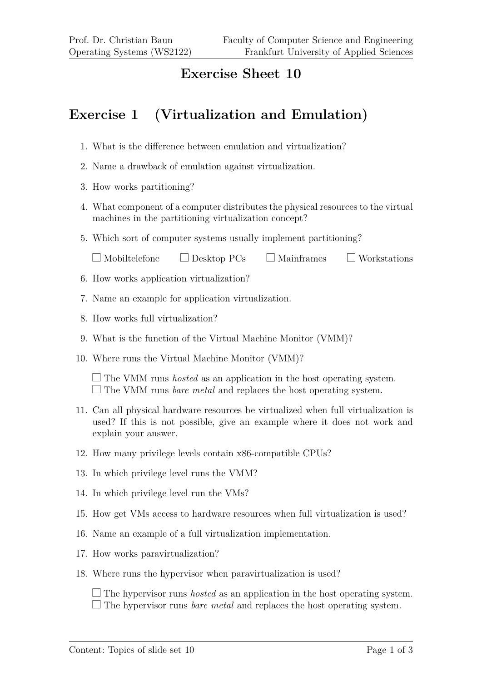## **Exercise Sheet 10**

## **Exercise 1 (Virtualization and Emulation)**

- 1. What is the difference between emulation and virtualization?
- 2. Name a drawback of emulation against virtualization.
- 3. How works partitioning?
- 4. What component of a computer distributes the physical resources to the virtual machines in the partitioning virtualization concept?
- 5. Which sort of computer systems usually implement partitioning?

| $\Box$ Mobiltelefone | $\Box$ Desktop PCs | $\Box$ Mainframes | $\Box$ Workstations |
|----------------------|--------------------|-------------------|---------------------|
|----------------------|--------------------|-------------------|---------------------|

- 6. How works application virtualization?
- 7. Name an example for application virtualization.
- 8. How works full virtualization?
- 9. What is the function of the Virtual Machine Monitor (VMM)?
- 10. Where runs the Virtual Machine Monitor (VMM)?

 $\Box$  The VMM runs *hosted* as an application in the host operating system.  $\Box$  The VMM runs *bare metal* and replaces the host operating system.

- 11. Can all physical hardware resources be virtualized when full virtualization is used? If this is not possible, give an example where it does not work and explain your answer.
- 12. How many privilege levels contain x86-compatible CPUs?
- 13. In which privilege level runs the VMM?
- 14. In which privilege level run the VMs?
- 15. How get VMs access to hardware resources when full virtualization is used?
- 16. Name an example of a full virtualization implementation.
- 17. How works paravirtualization?
- 18. Where runs the hypervisor when paravirtualization is used?

 $\Box$  The hypervisor runs *hosted* as an application in the host operating system.  $\Box$  The hypervisor runs *bare metal* and replaces the host operating system.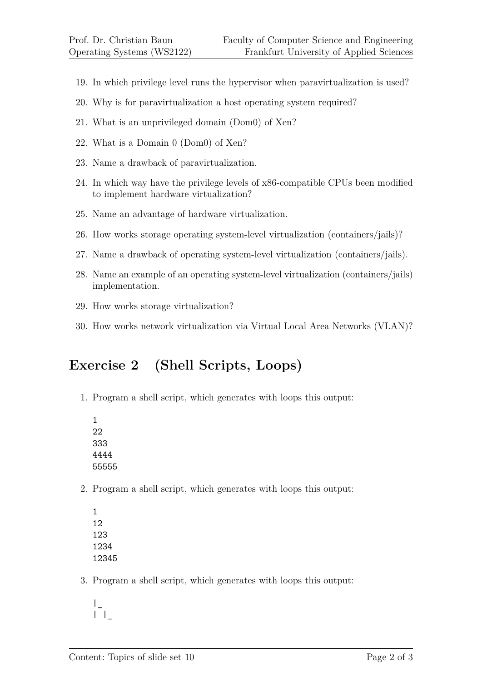- 19. In which privilege level runs the hypervisor when paravirtualization is used?
- 20. Why is for paravirtualization a host operating system required?
- 21. What is an unprivileged domain (Dom0) of Xen?
- 22. What is a Domain 0 (Dom0) of Xen?
- 23. Name a drawback of paravirtualization.
- 24. In which way have the privilege levels of x86-compatible CPUs been modified to implement hardware virtualization?
- 25. Name an advantage of hardware virtualization.
- 26. How works storage operating system-level virtualization (containers/jails)?
- 27. Name a drawback of operating system-level virtualization (containers/jails).
- 28. Name an example of an operating system-level virtualization (containers/jails) implementation.
- 29. How works storage virtualization?
- 30. How works network virtualization via Virtual Local Area Networks (VLAN)?

## **Exercise 2 (Shell Scripts, Loops)**

- 1. Program a shell script, which generates with loops this output:
	- 1 22 333 4444 55555
- 2. Program a shell script, which generates with loops this output:
	- 1 12 123 1234 12345
- 3. Program a shell script, which generates with loops this output:

 $|_{\perp}$  $|| \cdot ||_$